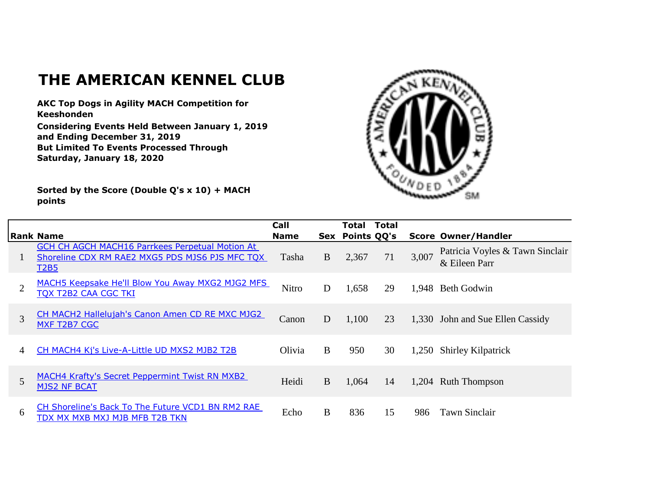## **THE AMERICAN KENNEL CLUB**

**AKC Top Dogs in Agility MACH Competition for Keeshonden**

**Considering Events Held Between January 1, 2019 and Ending December 31, 2019 But Limited To Events Processed Through Saturday, January 18, 2020**

**Sorted by the Score (Double Q's x 10) + MACH points**



|                | Rank Name                                                                                                         | Call<br><b>Name</b> |   | Total<br>Sex Points QQ's | Total |       | <b>Score Owner/Handler</b>                       |
|----------------|-------------------------------------------------------------------------------------------------------------------|---------------------|---|--------------------------|-------|-------|--------------------------------------------------|
|                | GCH CH AGCH MACH16 Parrkees Perpetual Motion At<br>Shoreline CDX RM RAE2 MXG5 PDS MJS6 PJS MFC TQX<br><b>T2B5</b> | Tasha               | B | 2,367                    | 71    | 3,007 | Patricia Voyles & Tawn Sinclair<br>& Eileen Parr |
| $\overline{2}$ | MACH5 Keepsake He'll Blow You Away MXG2 MJG2 MFS<br><b>TOX T2B2 CAA CGC TKI</b>                                   | Nitro               | D | 1,658                    | 29    | 1,948 | Beth Godwin                                      |
| 3              | CH MACH2 Hallelujah's Canon Amen CD RE MXC MJG2<br>MXF T2B7 CGC                                                   | Canon               | D | 1,100                    | 23    |       | 1,330 John and Sue Ellen Cassidy                 |
| 4              | CH MACH4 Kj's Live-A-Little UD MXS2 MJB2 T2B                                                                      | Olivia              | B | 950                      | 30    |       | 1,250 Shirley Kilpatrick                         |
| 5              | <b>MACH4 Krafty's Secret Peppermint Twist RN MXB2</b><br><b>MJS2 NF BCAT</b>                                      | Heidi               | B | 1,064                    | 14    |       | 1,204 Ruth Thompson                              |
| 6              | CH Shoreline's Back To The Future VCD1 BN RM2 RAE<br>TDX MX MXB MXJ MJB MFB T2B TKN                               | Echo                | B | 836                      | 15    | 986   | Tawn Sinclair                                    |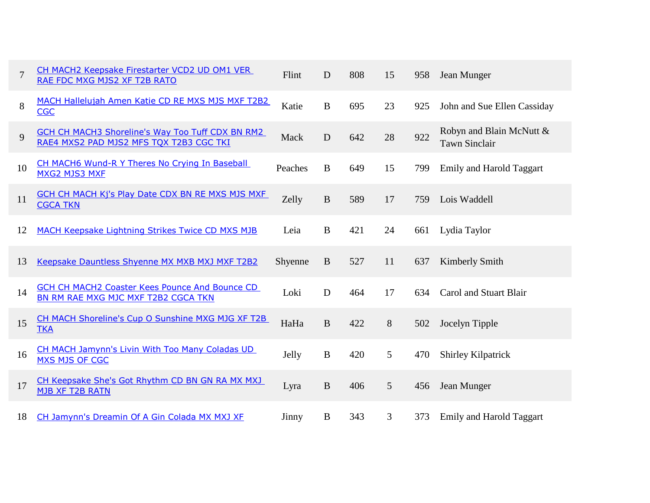| $\overline{7}$ | CH MACH2 Keepsake Firestarter VCD2 UD OM1 VER<br>RAE FDC MXG MJS2 XF T2B RATO                      | Flint   | D            | 808 | 15              | 958 | Jean Munger                                      |
|----------------|----------------------------------------------------------------------------------------------------|---------|--------------|-----|-----------------|-----|--------------------------------------------------|
| 8              | MACH Hallelujah Amen Katie CD RE MXS MJS MXF T2B2<br><b>CGC</b>                                    | Katie   | $\mathbf{B}$ | 695 | 23              | 925 | John and Sue Ellen Cassiday                      |
| 9              | <b>GCH CH MACH3 Shoreline's Way Too Tuff CDX BN RM2</b><br>RAE4 MXS2 PAD MJS2 MFS TQX T2B3 CGC TKI | Mack    | D            | 642 | 28              | 922 | Robyn and Blain McNutt &<br><b>Tawn Sinclair</b> |
| 10             | CH MACH6 Wund-R Y Theres No Crying In Baseball<br><b>MXG2 MJS3 MXF</b>                             | Peaches | $\bf{B}$     | 649 | 15              | 799 | <b>Emily and Harold Taggart</b>                  |
| 11             | <b>GCH CH MACH Kj's Play Date CDX BN RE MXS MJS MXF</b><br><b>CGCA TKN</b>                         | Zelly   | $\bf{B}$     | 589 | 17              | 759 | Lois Waddell                                     |
| 12             | MACH Keepsake Lightning Strikes Twice CD MXS MJB                                                   | Leia    | $\bf{B}$     | 421 | 24              | 661 | Lydia Taylor                                     |
| 13             | Keepsake Dauntless Shyenne MX MXB MXJ MXF T2B2                                                     | Shyenne | $\mathbf{B}$ | 527 | 11              | 637 | Kimberly Smith                                   |
| 14             | <b>GCH CH MACH2 Coaster Kees Pounce And Bounce CD</b><br>BN RM RAE MXG MJC MXF T2B2 CGCA TKN       | Loki    | $\mathbf D$  | 464 | 17              | 634 | Carol and Stuart Blair                           |
| 15             | CH MACH Shoreline's Cup O Sunshine MXG MJG XF T2B<br><b>TKA</b>                                    | HaHa    | $\mathbf{B}$ | 422 | 8               | 502 | Jocelyn Tipple                                   |
| 16             | CH MACH Jamynn's Livin With Too Many Coladas UD<br><b>MXS MJS OF CGC</b>                           | Jelly   | B            | 420 | 5               | 470 | <b>Shirley Kilpatrick</b>                        |
| 17             | CH Keepsake She's Got Rhythm CD BN GN RA MX MXJ<br>MJB XF T2B RATN                                 | Lyra    | $\mathbf B$  | 406 | $5\overline{)}$ | 456 | Jean Munger                                      |
| 18             | CH Jamynn's Dreamin Of A Gin Colada MX MXJ XF                                                      | Jinny   | B            | 343 | 3               | 373 | <b>Emily and Harold Taggart</b>                  |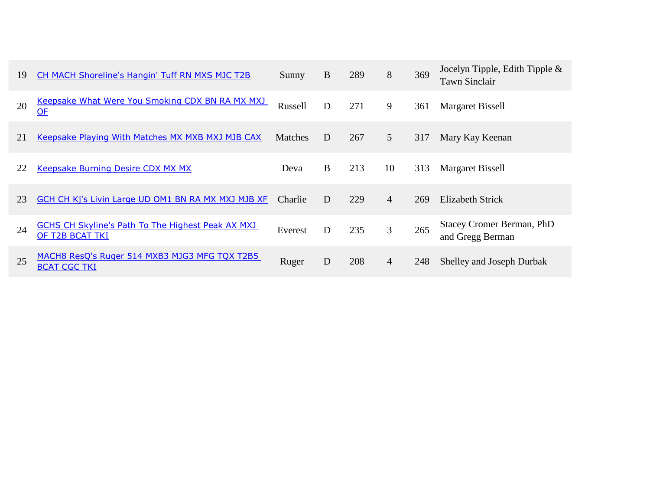| 19 | <b>CH MACH Shoreline's Hangin' Tuff RN MXS MJC T2B</b>                      | Sunny          | B | 289 | 8              | 369 | Jocelyn Tipple, Edith Tipple &<br><b>Tawn Sinclair</b> |
|----|-----------------------------------------------------------------------------|----------------|---|-----|----------------|-----|--------------------------------------------------------|
| 20 | Keepsake What Were You Smoking CDX BN RA MX MXJ<br>$OF$                     | Russell        | D | 271 | 9              | 361 | Margaret Bissell                                       |
| 21 | Keepsake Playing With Matches MX MXB MXJ MJB CAX                            | <b>Matches</b> | D | 267 | 5              | 317 | Mary Kay Keenan                                        |
| 22 | <b>Keepsake Burning Desire CDX MX MX</b>                                    | Deva           | B | 213 | 10             | 313 | Margaret Bissell                                       |
| 23 | GCH CH Kj's Livin Large UD OM1 BN RA MX MXJ MJB XF                          | <b>Charlie</b> | D | 229 | $\overline{4}$ | 269 | Elizabeth Strick                                       |
| 24 | <b>GCHS CH Skyline's Path To The Highest Peak AX MXJ</b><br>OF T2B BCAT TKI | Everest        | D | 235 | 3              | 265 | Stacey Cromer Berman, PhD<br>and Gregg Berman          |
| 25 | MACH8 ResQ's Ruger 514 MXB3 MJG3 MFG TQX T2B5<br><b>BCAT CGC TKI</b>        | Ruger          | D | 208 | 4              | 248 | Shelley and Joseph Durbak                              |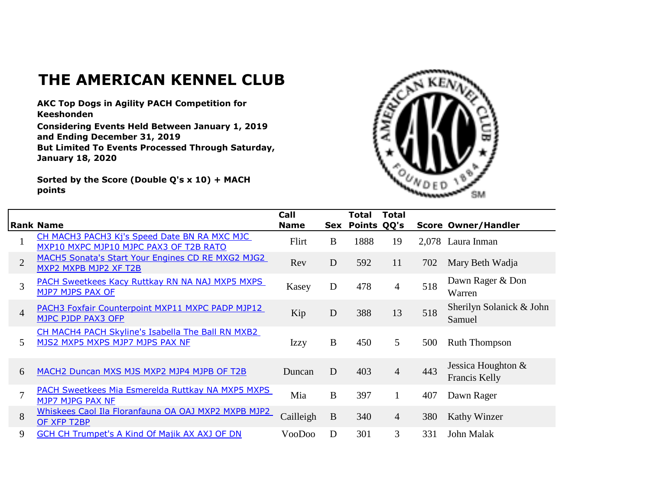## **THE AMERICAN KENNEL CLUB**

**AKC Top Dogs in Agility PACH Competition for Keeshonden**

**Considering Events Held Between January 1, 2019 and Ending December 31, 2019 But Limited To Events Processed Through Saturday, January 18, 2020**

**Sorted by the Score (Double Q's x 10) + MACH points**



|                |                                                                                        | Call        |             | Total       | <b>Total</b>    |     |                                       |
|----------------|----------------------------------------------------------------------------------------|-------------|-------------|-------------|-----------------|-----|---------------------------------------|
|                | <b>Rank Name</b>                                                                       | <b>Name</b> | Sex         | Points QQ's |                 |     | <b>Score Owner/Handler</b>            |
|                | CH MACH3 PACH3 Kj's Speed Date BN RA MXC MJC<br>MXP10 MXPC MJP10 MJPC PAX3 OF T2B RATO | Flirt       | B           | 1888        | 19              |     | 2,078 Laura Inman                     |
| $\overline{2}$ | MACH5 Sonata's Start Your Engines CD RE MXG2 MJG2<br>MXP2 MXPB MJP2 XF T2B             | Rev         | D           | 592         | 11              | 702 | Mary Beth Wadja                       |
| 3              | PACH Sweetkees Kacy Ruttkay RN NA NAJ MXP5 MXPS<br>MJP7 MJPS PAX OF                    | Kasey       | D           | 478         | 4               | 518 | Dawn Rager & Don<br>Warren            |
| $\overline{4}$ | PACH3 Foxfair Counterpoint MXP11 MXPC PADP MJP12<br>MJPC PJDP PAX3 OFP                 | Kip         | $\mathbf D$ | 388         | 13              | 518 | Sherilyn Solanick & John<br>Samuel    |
| 5              | CH MACH4 PACH Skyline's Isabella The Ball RN MXB2<br>MJS2 MXP5 MXPS MJP7 MJPS PAX NF   | <b>Izzy</b> | B           | 450         | $5\overline{)}$ | 500 | <b>Ruth Thompson</b>                  |
| 6              | MACH2 Duncan MXS MJS MXP2 MJP4 MJPB OF T2B                                             | Duncan      | D           | 403         | $\overline{4}$  | 443 | Jessica Houghton $&$<br>Francis Kelly |
| 7              | PACH Sweetkees Mia Esmerelda Ruttkay NA MXP5 MXPS<br>MJP7 MJPG PAX NF                  | Mia         | B           | 397         |                 | 407 | Dawn Rager                            |
| 8              | Whiskees Caol Ila Floranfauna OA OAJ MXP2 MXPB MJP2<br>OF XFP T2BP                     | Cailleigh   | B           | 340         | $\overline{4}$  | 380 | Kathy Winzer                          |
| 9              | GCH CH Trumpet's A Kind Of Majik AX AXJ OF DN                                          | VooDoo      | D           | 301         | $\mathfrak{Z}$  | 331 | John Malak                            |